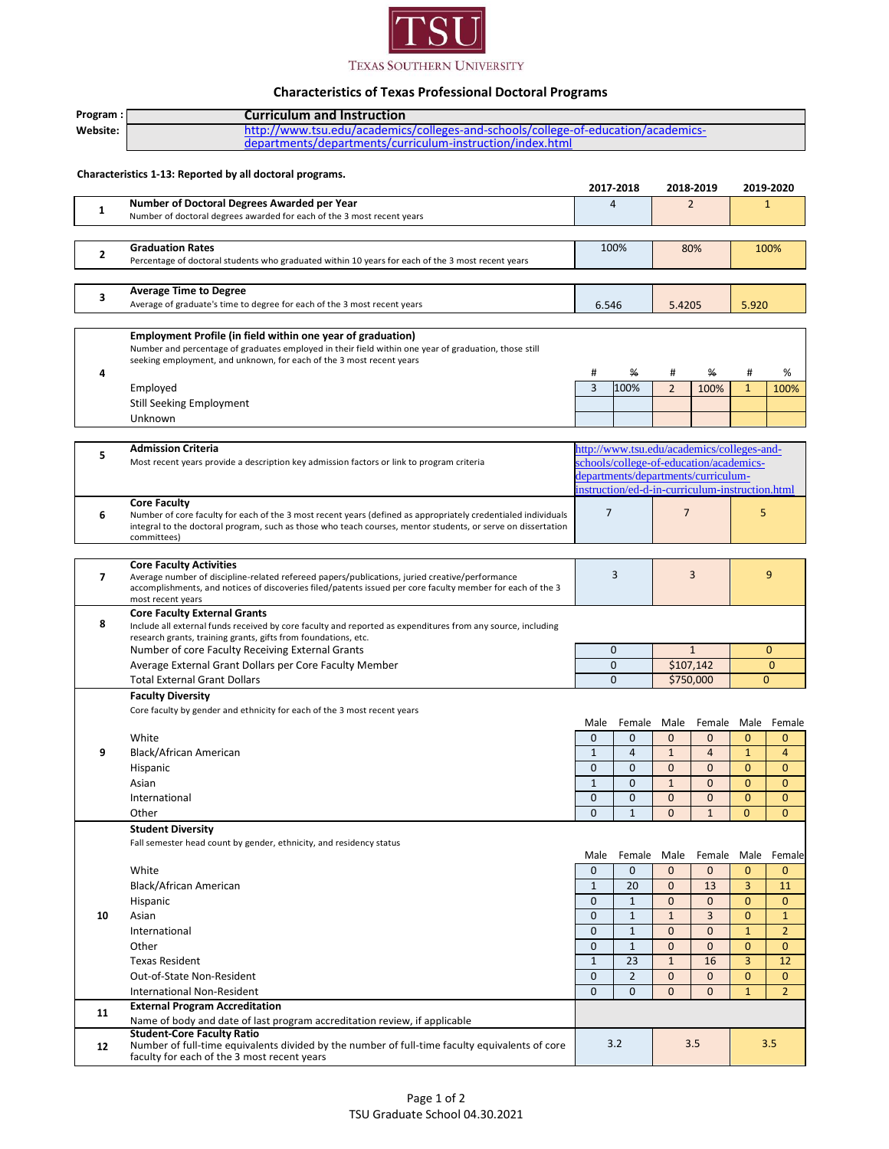

## **Characteristics of Texas Professional Doctoral Programs**

| Program:       | <b>Curriculum and Instruction</b>                                                                                                                                             |                                                |                |                |                |                                                                                       |                |  |
|----------------|-------------------------------------------------------------------------------------------------------------------------------------------------------------------------------|------------------------------------------------|----------------|----------------|----------------|---------------------------------------------------------------------------------------|----------------|--|
| Website:       | http://www.tsu.edu/academics/colleges-and-schools/college-of-education/academics-                                                                                             |                                                |                |                |                |                                                                                       |                |  |
|                | departments/departments/curriculum-instruction/index.html                                                                                                                     |                                                |                |                |                |                                                                                       |                |  |
|                |                                                                                                                                                                               |                                                |                |                |                |                                                                                       |                |  |
|                | Characteristics 1-13: Reported by all doctoral programs.                                                                                                                      |                                                |                |                |                |                                                                                       |                |  |
|                |                                                                                                                                                                               |                                                | 2017 2018      |                | 2018-2019      |                                                                                       | 2019-2020      |  |
|                | <b>Number of Doctoral Degrees Awarded per Year</b>                                                                                                                            | $\overline{4}$                                 |                |                | $\overline{2}$ |                                                                                       | $\mathbf{1}$   |  |
| 1              | Number of doctoral degrees awarded for each of the 3 most recent years                                                                                                        |                                                |                |                |                |                                                                                       |                |  |
|                |                                                                                                                                                                               |                                                |                |                |                |                                                                                       |                |  |
|                | <b>Graduation Rates</b>                                                                                                                                                       |                                                | 100%           |                |                |                                                                                       |                |  |
| $\overline{2}$ | Percentage of doctoral students who graduated within 10 years for each of the 3 most recent years                                                                             |                                                |                |                | 80%            |                                                                                       | 100%           |  |
|                |                                                                                                                                                                               |                                                |                |                |                |                                                                                       |                |  |
|                |                                                                                                                                                                               |                                                |                |                |                |                                                                                       |                |  |
| 3              | <b>Average Time to Degree</b>                                                                                                                                                 |                                                |                |                |                | 5.920                                                                                 |                |  |
|                | Average of graduate's time to degree for each of the 3 most recent years                                                                                                      | 6.546                                          |                | 5.4205         |                |                                                                                       |                |  |
|                |                                                                                                                                                                               |                                                |                |                |                |                                                                                       |                |  |
|                | Employment Profile (in field within one year of graduation)                                                                                                                   |                                                |                |                |                |                                                                                       |                |  |
|                | Number and percentage of graduates employed in their field within one year of graduation, those still<br>seeking employment, and unknown, for each of the 3 most recent years |                                                |                |                |                |                                                                                       |                |  |
| 4              |                                                                                                                                                                               | #                                              | ₩              | #              | ₩              | #                                                                                     | %              |  |
|                |                                                                                                                                                                               | 3                                              | 100%           |                |                |                                                                                       |                |  |
|                | Employed                                                                                                                                                                      |                                                |                | $\overline{2}$ | 100%           | $\mathbf{1}$                                                                          | 100%           |  |
|                | <b>Still Seeking Employment</b>                                                                                                                                               |                                                |                |                |                |                                                                                       |                |  |
|                | Unknown                                                                                                                                                                       |                                                |                |                |                |                                                                                       |                |  |
|                |                                                                                                                                                                               |                                                |                |                |                |                                                                                       |                |  |
| 5              | <b>Admission Criteria</b>                                                                                                                                                     |                                                |                |                |                | http://www.tsu.edu/academics/colleges-and-<br>schools/college-of-education/academics- |                |  |
|                | Most recent years provide a description key admission factors or link to program criteria                                                                                     |                                                |                |                |                |                                                                                       |                |  |
|                |                                                                                                                                                                               | departments/departments/curriculum-            |                |                |                |                                                                                       |                |  |
|                |                                                                                                                                                                               | nstruction/ed-d-in-curriculum-instruction.html |                |                |                |                                                                                       |                |  |
|                | <b>Core Faculty</b>                                                                                                                                                           |                                                |                |                |                |                                                                                       |                |  |
| 6              | Number of core faculty for each of the 3 most recent years (defined as appropriately credentialed individuals                                                                 | 7                                              |                | $\overline{7}$ |                | 5                                                                                     |                |  |
|                | integral to the doctoral program, such as those who teach courses, mentor students, or serve on dissertation                                                                  |                                                |                |                |                |                                                                                       |                |  |
|                | committees)                                                                                                                                                                   |                                                |                |                |                |                                                                                       |                |  |
|                |                                                                                                                                                                               |                                                |                |                |                |                                                                                       |                |  |
| 7              | <b>Core Faculty Activities</b><br>Average number of discipline-related refereed papers/publications, juried creative/performance                                              |                                                | 3              |                | 3              |                                                                                       | 9              |  |
|                | accomplishments, and notices of discoveries filed/patents issued per core faculty member for each of the 3                                                                    |                                                |                |                |                |                                                                                       |                |  |
|                | most recent years                                                                                                                                                             |                                                |                |                |                |                                                                                       |                |  |
|                | <b>Core Faculty External Grants</b>                                                                                                                                           |                                                |                |                |                |                                                                                       |                |  |
| 8              | Include all external funds received by core faculty and reported as expenditures from any source, including                                                                   |                                                |                |                |                |                                                                                       |                |  |
|                | research grants, training grants, gifts from foundations, etc.                                                                                                                |                                                |                |                |                |                                                                                       |                |  |
|                | Number of core Faculty Receiving External Grants                                                                                                                              | $\mathbf 0$<br>$\mathbf{0}$                    |                | $\mathbf{1}$   |                | $\mathbf{0}$                                                                          |                |  |
|                | Average External Grant Dollars per Core Faculty Member                                                                                                                        |                                                |                | \$107,142      |                | $\mathbf{0}$                                                                          |                |  |
|                | <b>Total External Grant Dollars</b>                                                                                                                                           |                                                | $\mathbf{0}$   | \$750,000      |                | $\mathbf{0}$                                                                          |                |  |
|                | <b>Faculty Diversity</b>                                                                                                                                                      |                                                |                |                |                |                                                                                       |                |  |
|                | Core faculty by gender and ethnicity for each of the 3 most recent years                                                                                                      |                                                |                |                |                |                                                                                       |                |  |
|                |                                                                                                                                                                               | Male                                           | Female         | Male           | Female         | Male                                                                                  | Female         |  |
|                | White                                                                                                                                                                         | $\mathbf 0$                                    | 0              | 0              | $\mathbf 0$    | $\mathbf{0}$                                                                          | $\mathbf{0}$   |  |
| 9              | Black/African American                                                                                                                                                        | $\mathbf{1}$                                   | $\overline{4}$ | $\mathbf{1}$   | $\overline{4}$ | $\mathbf{1}$                                                                          | $\overline{4}$ |  |
|                | Hispanic                                                                                                                                                                      | $\mathbf{0}$                                   | $\mathbf{0}$   | $\mathbf{0}$   | $\mathbf{0}$   | $\mathbf{0}$                                                                          | $\mathbf{0}$   |  |
|                | Asian                                                                                                                                                                         | $\mathbf{1}$                                   | $\mathbf{0}$   | $\mathbf{1}$   | $\overline{0}$ | $\mathbf{0}$                                                                          | $\mathbf{0}$   |  |
|                | International                                                                                                                                                                 | $\mathbf{0}$                                   | $\mathbf{0}$   | $\overline{0}$ | $\overline{0}$ | $\overline{0}$                                                                        | $\mathbf{0}$   |  |
|                | Other                                                                                                                                                                         | $\Omega$                                       | $\mathbf{1}$   | $\Omega$       | $\mathbf{1}$   | $\Omega$                                                                              | $\mathbf{0}$   |  |
|                |                                                                                                                                                                               |                                                |                |                |                |                                                                                       |                |  |
|                | <b>Student Diversity</b>                                                                                                                                                      |                                                |                |                |                |                                                                                       |                |  |
|                | Fall semester head count by gender, ethnicity, and residency status                                                                                                           |                                                |                |                |                |                                                                                       |                |  |
|                |                                                                                                                                                                               | Male                                           | Female         | Male           | Female         | Male                                                                                  | Female         |  |
|                | White                                                                                                                                                                         | $\Omega$                                       | $\mathbf{0}$   | $\mathbf{0}$   | $\mathbf{0}$   | $\mathbf{0}$                                                                          | $\mathbf{0}$   |  |
|                | Black/African American                                                                                                                                                        | $\mathbf{1}$                                   | 20             | $\mathbf 0$    | 13             | 3                                                                                     | 11             |  |
|                | Hispanic                                                                                                                                                                      | $\mathbf{0}$                                   | $\mathbf{1}$   | $\mathbf{0}$   | $\mathbf{0}$   | $\mathbf{0}$                                                                          | $\mathbf{0}$   |  |
| 10             | Asian                                                                                                                                                                         | $\mathbf{0}$                                   | $\mathbf{1}$   | $\mathbf{1}$   | $\overline{3}$ | $\mathbf{0}$                                                                          | $\mathbf{1}$   |  |
|                | International                                                                                                                                                                 | $\Omega$                                       | $\mathbf{1}$   | $\mathbf{0}$   | $\overline{0}$ | $\mathbf{1}$                                                                          | $\overline{2}$ |  |
|                | Other                                                                                                                                                                         | $\mathbf{0}$                                   | $\mathbf{1}$   | $\overline{0}$ | $\overline{0}$ | $\overline{0}$                                                                        | $\mathbf{0}$   |  |
|                | <b>Texas Resident</b>                                                                                                                                                         | $\mathbf{1}$                                   | 23             | $\mathbf{1}$   | 16             | $\overline{3}$                                                                        | 12             |  |
|                | Out-of-State Non-Resident                                                                                                                                                     | $\mathbf{0}$                                   | $\overline{2}$ | $\mathbf{0}$   | $\mathbf{0}$   | $\mathbf{0}$                                                                          | $\mathbf{0}$   |  |
|                |                                                                                                                                                                               |                                                |                |                |                |                                                                                       |                |  |
|                | International Non-Resident                                                                                                                                                    | $\Omega$                                       | $\Omega$       | $\Omega$       | $\Omega$       | $\mathbf{1}$                                                                          | $\overline{2}$ |  |
| 11             | <b>External Program Accreditation</b>                                                                                                                                         |                                                |                |                |                |                                                                                       |                |  |
|                | Name of body and date of last program accreditation review, if applicable                                                                                                     |                                                |                |                |                |                                                                                       |                |  |
|                | <b>Student-Core Faculty Ratio</b>                                                                                                                                             |                                                | 3.2            |                | 3.5            |                                                                                       | 3.5            |  |
| 12             | Number of full-time equivalents divided by the number of full-time faculty equivalents of core<br>faculty for each of the 3 most recent years                                 |                                                |                |                |                |                                                                                       |                |  |